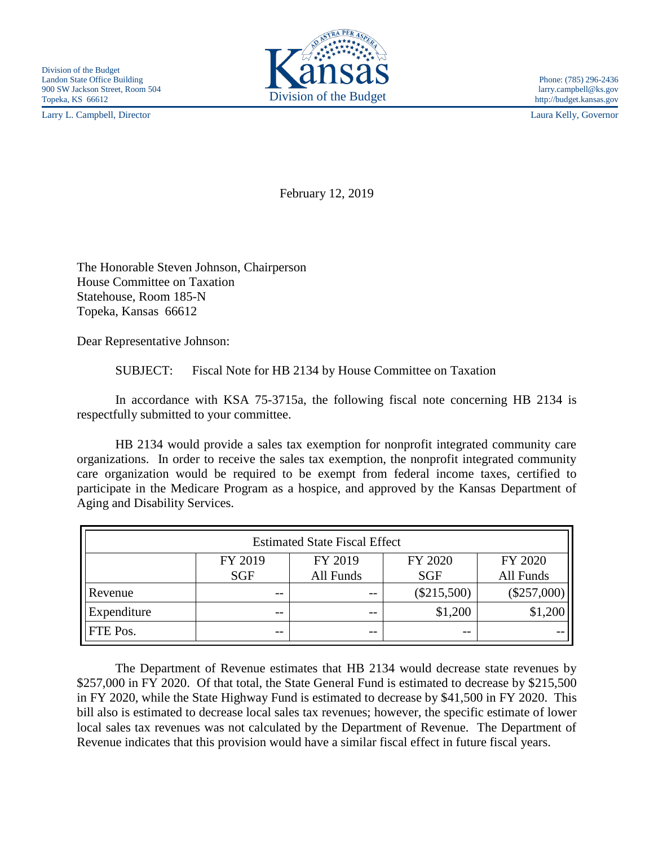Larry L. Campbell, Director Laura Kelly, Governor



February 12, 2019

The Honorable Steven Johnson, Chairperson House Committee on Taxation Statehouse, Room 185-N Topeka, Kansas 66612

Dear Representative Johnson:

SUBJECT: Fiscal Note for HB 2134 by House Committee on Taxation

In accordance with KSA 75-3715a, the following fiscal note concerning HB 2134 is respectfully submitted to your committee.

HB 2134 would provide a sales tax exemption for nonprofit integrated community care organizations. In order to receive the sales tax exemption, the nonprofit integrated community care organization would be required to be exempt from federal income taxes, certified to participate in the Medicare Program as a hospice, and approved by the Kansas Department of Aging and Disability Services.

| <b>Estimated State Fiscal Effect</b> |            |           |               |               |
|--------------------------------------|------------|-----------|---------------|---------------|
|                                      | FY 2019    | FY 2019   | FY 2020       | FY 2020       |
|                                      | <b>SGF</b> | All Funds | <b>SGF</b>    | All Funds     |
| Revenue                              | $- -$      | $- -$     | $(\$215,500)$ | $(\$257,000)$ |
| Expenditure                          | $- -$      | $- -$     | \$1,200       | \$1,200       |
| FTE Pos.                             | $- -$      | $- -$     | $- -$         |               |

The Department of Revenue estimates that HB 2134 would decrease state revenues by \$257,000 in FY 2020. Of that total, the State General Fund is estimated to decrease by \$215,500 in FY 2020, while the State Highway Fund is estimated to decrease by \$41,500 in FY 2020. This bill also is estimated to decrease local sales tax revenues; however, the specific estimate of lower local sales tax revenues was not calculated by the Department of Revenue. The Department of Revenue indicates that this provision would have a similar fiscal effect in future fiscal years.